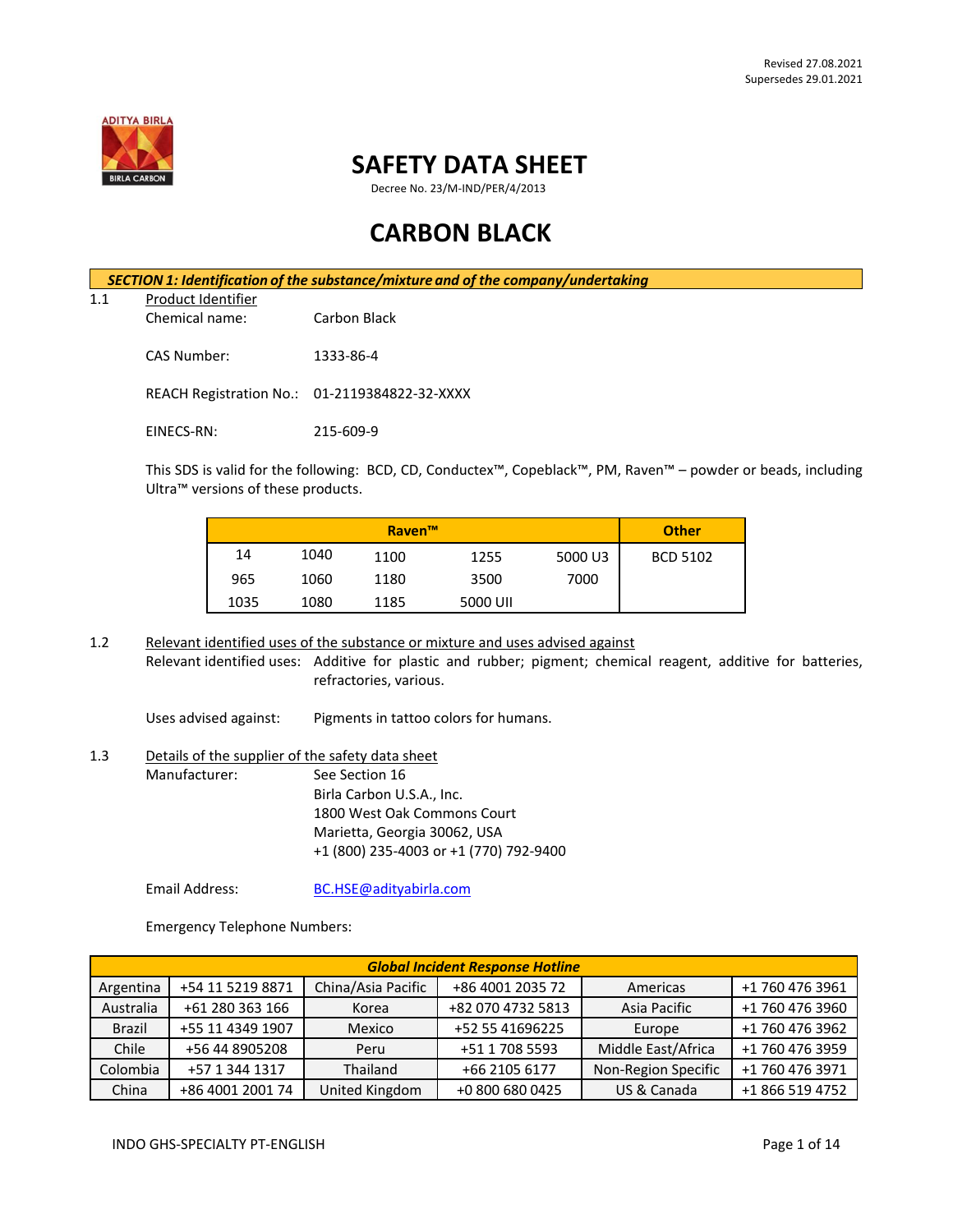

# **SAFETY DATA SHEET**

Decree No. 23/M-IND/PER/4/2013

# **CARBON BLACK**

*SECTION 1: Identification of the substance/mixture and of the company/undertaking* 1.1 Product Identifier Chemical name: Carbon Black CAS Number: 1333-86-4 REACH Registration No.: 01-2119384822-32-XXXX EINECS-RN: 215-609-9

This SDS is valid for the following: BCD, CD, Conductex™, Copeblack™, PM, Raven™ – powder or beads, including Ultra™ versions of these products.

|      |      | <b>Raven™</b> |          |         | <b>Other</b>    |
|------|------|---------------|----------|---------|-----------------|
| 14   | 1040 | 1100          | 1255     | 5000 U3 | <b>BCD 5102</b> |
| 965  | 1060 | 1180          | 3500     | 7000    |                 |
| 1035 | 1080 | 1185          | 5000 UII |         |                 |

1.2 Relevant identified uses of the substance or mixture and uses advised against Relevant identified uses: Additive for plastic and rubber; pigment; chemical reagent, additive for batteries, refractories, various.

Uses advised against: Pigments in tattoo colors for humans.

# 1.3 Details of the supplier of the safety data sheet Manufacturer: See Section 16 Birla Carbon U.S.A., Inc. 1800 West Oak Commons Court Marietta, Georgia 30062, USA +1 (800) 235-4003 or +1 (770) 792-9400

Email Address: [BC.HSE@adityabirla.com](mailto:BC.HSE@adityabirla.com)

Emergency Telephone Numbers:

| <b>Global Incident Response Hotline</b> |                  |                    |                   |                     |                 |
|-----------------------------------------|------------------|--------------------|-------------------|---------------------|-----------------|
| Argentina                               | +54 11 5219 8871 | China/Asia Pacific | +86 4001 2035 72  | Americas            | +1 760 476 3961 |
| Australia                               | +61 280 363 166  | Korea              | +82 070 4732 5813 | Asia Pacific        | +1 760 476 3960 |
| <b>Brazil</b>                           | +55 11 4349 1907 | Mexico             | +52 55 41696225   | Europe              | +1 760 476 3962 |
| Chile                                   | +56 44 8905208   | Peru               | +51 1 708 5593    | Middle East/Africa  | +1 760 476 3959 |
| Colombia                                | +57 1 344 1317   | Thailand           | +66 2105 6177     | Non-Region Specific | +1 760 476 3971 |
| China                                   | +86 4001 2001 74 | United Kingdom     | +0 800 680 0425   | US & Canada         | +1 866 519 4752 |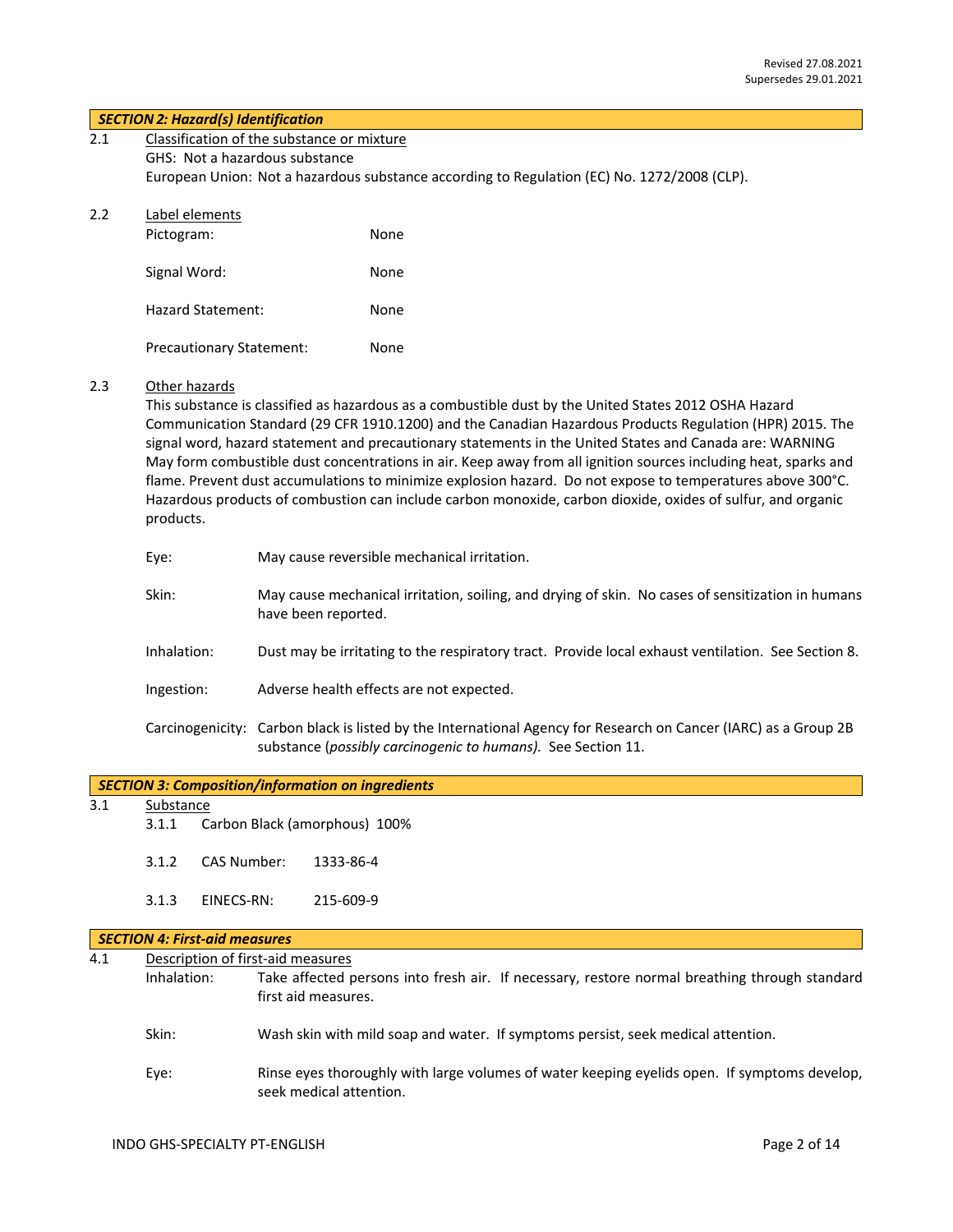## *SECTION 2: Hazard(s) Identification*

| 2.1 | Classification of the substance or mixture                                                  |
|-----|---------------------------------------------------------------------------------------------|
|     | GHS: Not a hazardous substance                                                              |
|     | European Union: Not a hazardous substance according to Regulation (EC) No. 1272/2008 (CLP). |

# 2.2 Label elements

| Pictogram:                      | None |
|---------------------------------|------|
| Signal Word:                    | None |
| Hazard Statement:               | None |
| <b>Precautionary Statement:</b> | None |

#### 2.3 Other hazards

This substance is classified as hazardous as a combustible dust by the United States 2012 OSHA Hazard Communication Standard (29 CFR 1910.1200) and the Canadian Hazardous Products Regulation (HPR) 2015. The signal word, hazard statement and precautionary statements in the United States and Canada are: WARNING May form combustible dust concentrations in air. Keep away from all ignition sources including heat, sparks and flame. Prevent dust accumulations to minimize explosion hazard. Do not expose to temperatures above 300°C. Hazardous products of combustion can include carbon monoxide, carbon dioxide, oxides of sulfur, and organic products.

| Eye:        | May cause reversible mechanical irritation.                                                                                                                                     |
|-------------|---------------------------------------------------------------------------------------------------------------------------------------------------------------------------------|
| Skin:       | May cause mechanical irritation, soiling, and drying of skin. No cases of sensitization in humans<br>have been reported.                                                        |
| Inhalation: | Dust may be irritating to the respiratory tract. Provide local exhaust ventilation. See Section 8.                                                                              |
| Ingestion:  | Adverse health effects are not expected.                                                                                                                                        |
|             | Carcinogenicity: Carbon black is listed by the International Agency for Research on Cancer (IARC) as a Group 2B<br>substance (possibly carcinogenic to humans). See Section 11. |

# 3.1 Substance

- 3.1.1 Carbon Black (amorphous) 100%
- 3.1.2 CAS Number: 1333-86-4
- 3.1.3 EINECS-RN: 215-609-9

#### *SECTION 4: First-aid measures*

| Description of first-aid measures<br>4.1 |             |                                                                                                                         |
|------------------------------------------|-------------|-------------------------------------------------------------------------------------------------------------------------|
|                                          | Inhalation: | Take affected persons into fresh air. If necessary, restore normal breathing through standard<br>first aid measures.    |
|                                          | Skin:       | Wash skin with mild soap and water. If symptoms persist, seek medical attention.                                        |
|                                          | Eye:        | Rinse eyes thoroughly with large volumes of water keeping eyelids open. If symptoms develop,<br>seek medical attention. |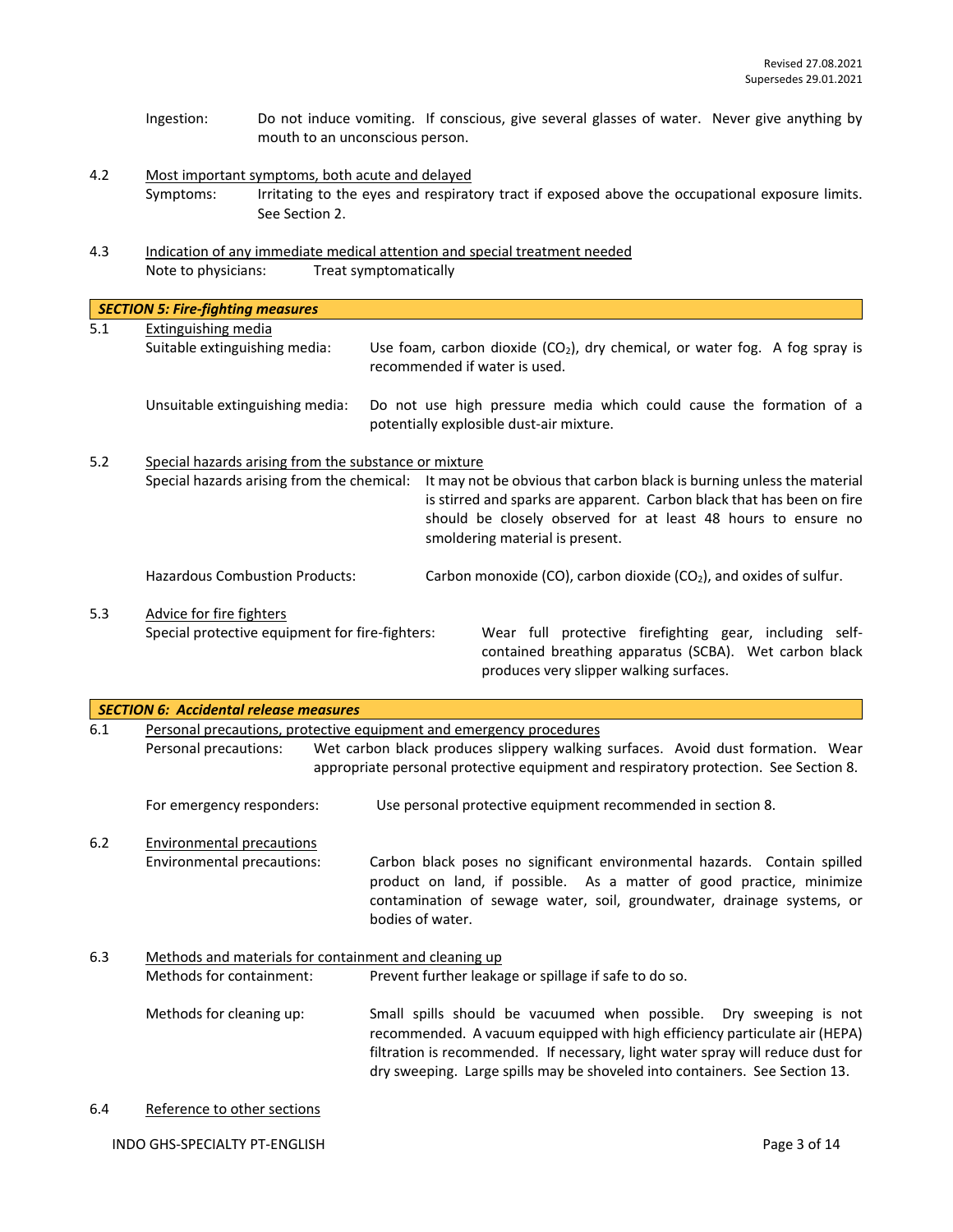- Ingestion: Do not induce vomiting. If conscious, give several glasses of water. Never give anything by mouth to an unconscious person.
- 4.2 Most important symptoms, both acute and delayed Symptoms: Irritating to the eyes and respiratory tract if exposed above the occupational exposure limits. See Section 2.
- 4.3 Indication of any immediate medical attention and special treatment needed Note to physicians: Treat symptomatically

|     | <b>SECTION 5: Fire-fighting measures</b>                                                            |                                                                                                                 |                                                                                                                                                                                                                                                      |  |
|-----|-----------------------------------------------------------------------------------------------------|-----------------------------------------------------------------------------------------------------------------|------------------------------------------------------------------------------------------------------------------------------------------------------------------------------------------------------------------------------------------------------|--|
| 5.1 | Extinguishing media<br>Suitable extinguishing media:                                                | Use foam, carbon dioxide $(CO_2)$ , dry chemical, or water fog. A fog spray is<br>recommended if water is used. |                                                                                                                                                                                                                                                      |  |
|     | Unsuitable extinguishing media:                                                                     |                                                                                                                 | Do not use high pressure media which could cause the formation of a<br>potentially explosible dust-air mixture.                                                                                                                                      |  |
| 5.2 | Special hazards arising from the substance or mixture<br>Special hazards arising from the chemical: |                                                                                                                 | It may not be obvious that carbon black is burning unless the material<br>is stirred and sparks are apparent. Carbon black that has been on fire<br>should be closely observed for at least 48 hours to ensure no<br>smoldering material is present. |  |
|     | <b>Hazardous Combustion Products:</b>                                                               |                                                                                                                 | Carbon monoxide (CO), carbon dioxide (CO <sub>2</sub> ), and oxides of sulfur.                                                                                                                                                                       |  |
| 5.3 | Advice for fire fighters<br>Special protective equipment for fire-fighters:                         |                                                                                                                 | Wear full protective firefighting gear, including self-<br>contained breathing apparatus (SCBA). Wet carbon black<br>produces very slipper walking surfaces.                                                                                         |  |

|     | <b>SECTION 6: Accidental release measures</b>                       |                                                                                                                                                                                                                                                                                                                    |
|-----|---------------------------------------------------------------------|--------------------------------------------------------------------------------------------------------------------------------------------------------------------------------------------------------------------------------------------------------------------------------------------------------------------|
| 6.1 | Personal precautions, protective equipment and emergency procedures |                                                                                                                                                                                                                                                                                                                    |
|     | Personal precautions:                                               | Wet carbon black produces slippery walking surfaces. Avoid dust formation. Wear                                                                                                                                                                                                                                    |
|     |                                                                     | appropriate personal protective equipment and respiratory protection. See Section 8.                                                                                                                                                                                                                               |
|     | For emergency responders:                                           | Use personal protective equipment recommended in section 8.                                                                                                                                                                                                                                                        |
| 6.2 | <b>Environmental precautions</b>                                    |                                                                                                                                                                                                                                                                                                                    |
|     | Environmental precautions:                                          | Carbon black poses no significant environmental hazards. Contain spilled<br>product on land, if possible. As a matter of good practice, minimize<br>contamination of sewage water, soil, groundwater, drainage systems, or<br>bodies of water.                                                                     |
| 6.3 | Methods and materials for containment and cleaning up               |                                                                                                                                                                                                                                                                                                                    |
|     | Methods for containment:                                            | Prevent further leakage or spillage if safe to do so.                                                                                                                                                                                                                                                              |
|     | Methods for cleaning up:                                            | Small spills should be vacuumed when possible. Dry sweeping is not<br>recommended. A vacuum equipped with high efficiency particulate air (HEPA)<br>filtration is recommended. If necessary, light water spray will reduce dust for<br>dry sweeping. Large spills may be shoveled into containers. See Section 13. |
| 6.4 | Reference to other sections                                         |                                                                                                                                                                                                                                                                                                                    |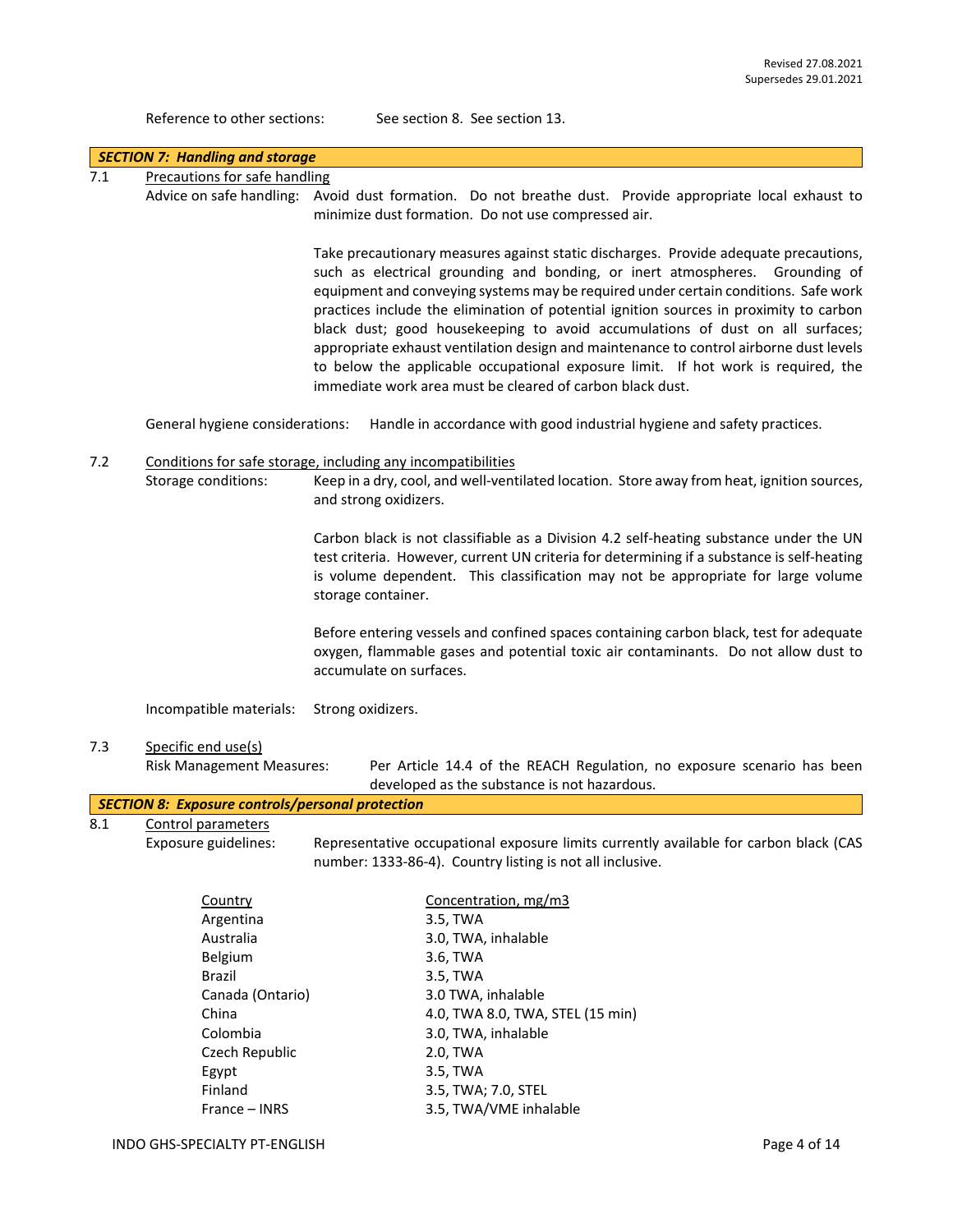Reference to other sections: See section 8. See section 13.

|     | <b>SECTION 7: Handling and storage</b>                                                                                                                 |                                                                                                                                                                                                                                                                                                                                                                                                                                                                                                                                                                                                                                                                                    |  |  |  |
|-----|--------------------------------------------------------------------------------------------------------------------------------------------------------|------------------------------------------------------------------------------------------------------------------------------------------------------------------------------------------------------------------------------------------------------------------------------------------------------------------------------------------------------------------------------------------------------------------------------------------------------------------------------------------------------------------------------------------------------------------------------------------------------------------------------------------------------------------------------------|--|--|--|
| 7.1 | Precautions for safe handling                                                                                                                          |                                                                                                                                                                                                                                                                                                                                                                                                                                                                                                                                                                                                                                                                                    |  |  |  |
|     |                                                                                                                                                        | Advice on safe handling: Avoid dust formation. Do not breathe dust. Provide appropriate local exhaust to<br>minimize dust formation. Do not use compressed air.                                                                                                                                                                                                                                                                                                                                                                                                                                                                                                                    |  |  |  |
|     |                                                                                                                                                        | Take precautionary measures against static discharges. Provide adequate precautions,<br>such as electrical grounding and bonding, or inert atmospheres. Grounding of<br>equipment and conveying systems may be required under certain conditions. Safe work<br>practices include the elimination of potential ignition sources in proximity to carbon<br>black dust; good housekeeping to avoid accumulations of dust on all surfaces;<br>appropriate exhaust ventilation design and maintenance to control airborne dust levels<br>to below the applicable occupational exposure limit. If hot work is required, the<br>immediate work area must be cleared of carbon black dust. |  |  |  |
|     | General hygiene considerations:                                                                                                                        | Handle in accordance with good industrial hygiene and safety practices.                                                                                                                                                                                                                                                                                                                                                                                                                                                                                                                                                                                                            |  |  |  |
| 7.2 | Storage conditions:                                                                                                                                    | Conditions for safe storage, including any incompatibilities<br>Keep in a dry, cool, and well-ventilated location. Store away from heat, ignition sources,<br>and strong oxidizers.                                                                                                                                                                                                                                                                                                                                                                                                                                                                                                |  |  |  |
|     |                                                                                                                                                        | Carbon black is not classifiable as a Division 4.2 self-heating substance under the UN<br>test criteria. However, current UN criteria for determining if a substance is self-heating<br>is volume dependent. This classification may not be appropriate for large volume<br>storage container.                                                                                                                                                                                                                                                                                                                                                                                     |  |  |  |
|     |                                                                                                                                                        | Before entering vessels and confined spaces containing carbon black, test for adequate<br>oxygen, flammable gases and potential toxic air contaminants. Do not allow dust to<br>accumulate on surfaces.                                                                                                                                                                                                                                                                                                                                                                                                                                                                            |  |  |  |
|     | Incompatible materials:                                                                                                                                | Strong oxidizers.                                                                                                                                                                                                                                                                                                                                                                                                                                                                                                                                                                                                                                                                  |  |  |  |
| 7.3 | Specific end use(s)<br><b>Risk Management Measures:</b>                                                                                                | Per Article 14.4 of the REACH Regulation, no exposure scenario has been<br>developed as the substance is not hazardous.                                                                                                                                                                                                                                                                                                                                                                                                                                                                                                                                                            |  |  |  |
|     | <b>SECTION 8: Exposure controls/personal protection</b>                                                                                                |                                                                                                                                                                                                                                                                                                                                                                                                                                                                                                                                                                                                                                                                                    |  |  |  |
| 8.1 | Control parameters<br>Exposure guidelines:                                                                                                             | Representative occupational exposure limits currently available for carbon black (CAS<br>number: 1333-86-4). Country listing is not all inclusive.                                                                                                                                                                                                                                                                                                                                                                                                                                                                                                                                 |  |  |  |
|     | Country<br>Argentina<br>Australia<br>Belgium<br>Brazil<br>Canada (Ontario)<br>China<br>Colombia<br>Czech Republic<br>Egypt<br>Finland<br>France - INRS | Concentration, mg/m3<br>3.5, TWA<br>3.0, TWA, inhalable<br>3.6, TWA<br>3.5, TWA<br>3.0 TWA, inhalable<br>4.0, TWA 8.0, TWA, STEL (15 min)<br>3.0, TWA, inhalable<br>2.0, TWA<br>3.5, TWA<br>3.5, TWA; 7.0, STEL<br>3.5, TWA/VME inhalable                                                                                                                                                                                                                                                                                                                                                                                                                                          |  |  |  |
|     | INDO GHS-SPECIALTY PT-ENGLISH                                                                                                                          | Page 4 of 14                                                                                                                                                                                                                                                                                                                                                                                                                                                                                                                                                                                                                                                                       |  |  |  |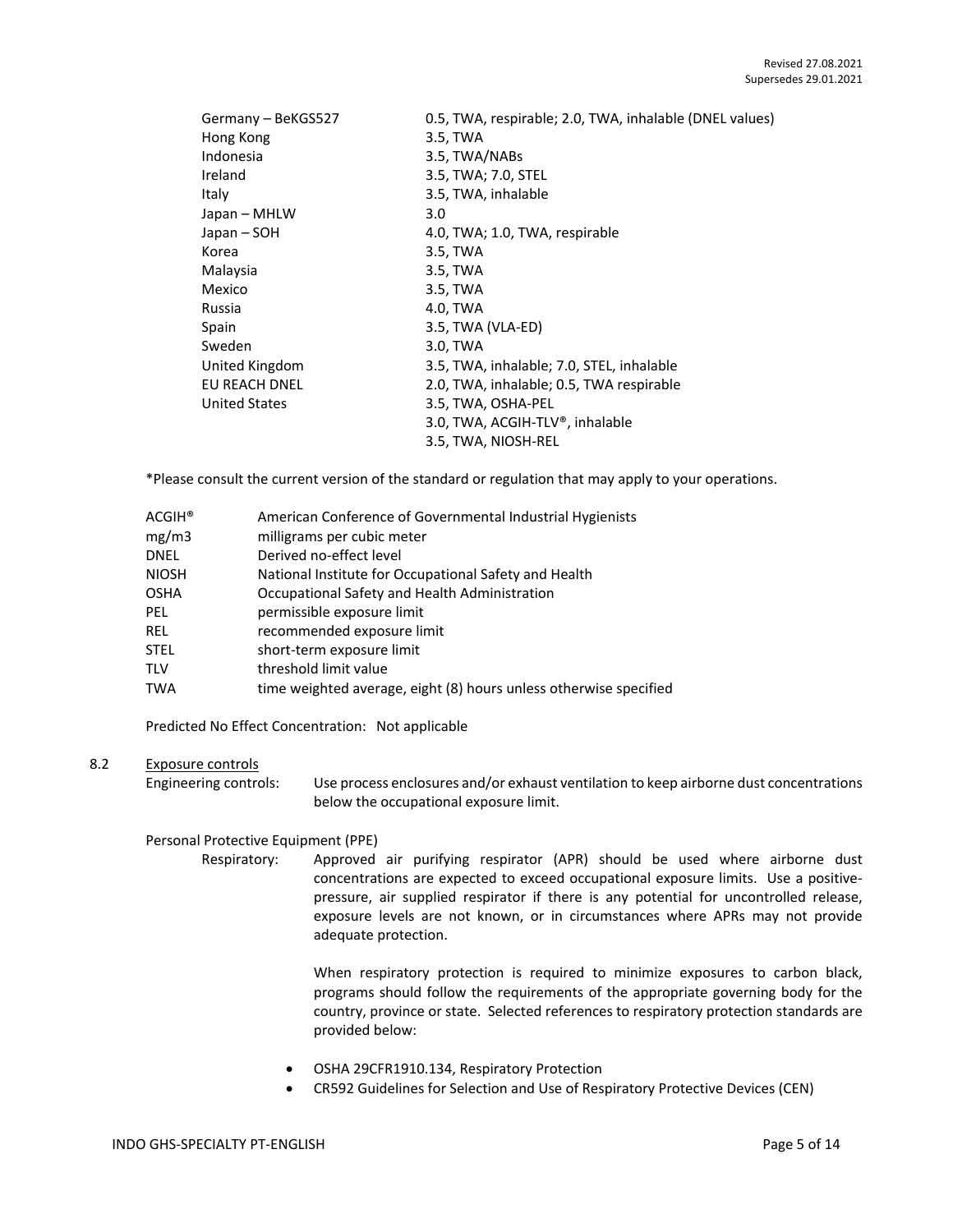| Germany - BeKGS527   | 0.5, TWA, respirable; 2.0, TWA, inhalable (DNEL values) |
|----------------------|---------------------------------------------------------|
| Hong Kong            | 3.5, TWA                                                |
| Indonesia            | 3.5, TWA/NABs                                           |
| Ireland              | 3.5, TWA; 7.0, STEL                                     |
| Italy                | 3.5, TWA, inhalable                                     |
| Japan – MHLW         | 3.0                                                     |
| Japan – SOH          | 4.0, TWA; 1.0, TWA, respirable                          |
| Korea                | 3.5, TWA                                                |
| Malaysia             | 3.5, TWA                                                |
| Mexico               | 3.5, TWA                                                |
| Russia               | 4.0, TWA                                                |
| Spain                | 3.5, TWA (VLA-ED)                                       |
| Sweden               | 3.0, TWA                                                |
| United Kingdom       | 3.5, TWA, inhalable; 7.0, STEL, inhalable               |
| EU REACH DNEL        | 2.0, TWA, inhalable; 0.5, TWA respirable                |
| <b>United States</b> | 3.5, TWA, OSHA-PEL                                      |
|                      | 3.0, TWA, ACGIH-TLV®, inhalable                         |
|                      | 3.5, TWA, NIOSH-REL                                     |

\*Please consult the current version of the standard or regulation that may apply to your operations.

| ACGIH® | American Conference of Governmental Industrial Hygienists         |
|--------|-------------------------------------------------------------------|
| mg/m3  | milligrams per cubic meter                                        |
| DNEL   | Derived no-effect level                                           |
| NIOSH  | National Institute for Occupational Safety and Health             |
| OSHA   | Occupational Safety and Health Administration                     |
| PEL    | permissible exposure limit                                        |
| REL    | recommended exposure limit                                        |
| STEL   | short-term exposure limit                                         |
| TLV    | threshold limit value                                             |
| TWA    | time weighted average, eight (8) hours unless otherwise specified |

Predicted No Effect Concentration: Not applicable

# 8.2 Exposure controls

Engineering controls: Use process enclosures and/or exhaust ventilation to keep airborne dust concentrations below the occupational exposure limit.

# Personal Protective Equipment (PPE)

Respiratory: Approved air purifying respirator (APR) should be used where airborne dust concentrations are expected to exceed occupational exposure limits. Use a positivepressure, air supplied respirator if there is any potential for uncontrolled release, exposure levels are not known, or in circumstances where APRs may not provide adequate protection.

> When respiratory protection is required to minimize exposures to carbon black, programs should follow the requirements of the appropriate governing body for the country, province or state. Selected references to respiratory protection standards are provided below:

- OSHA 29CFR1910.134, Respiratory Protection
- CR592 Guidelines for Selection and Use of Respiratory Protective Devices (CEN)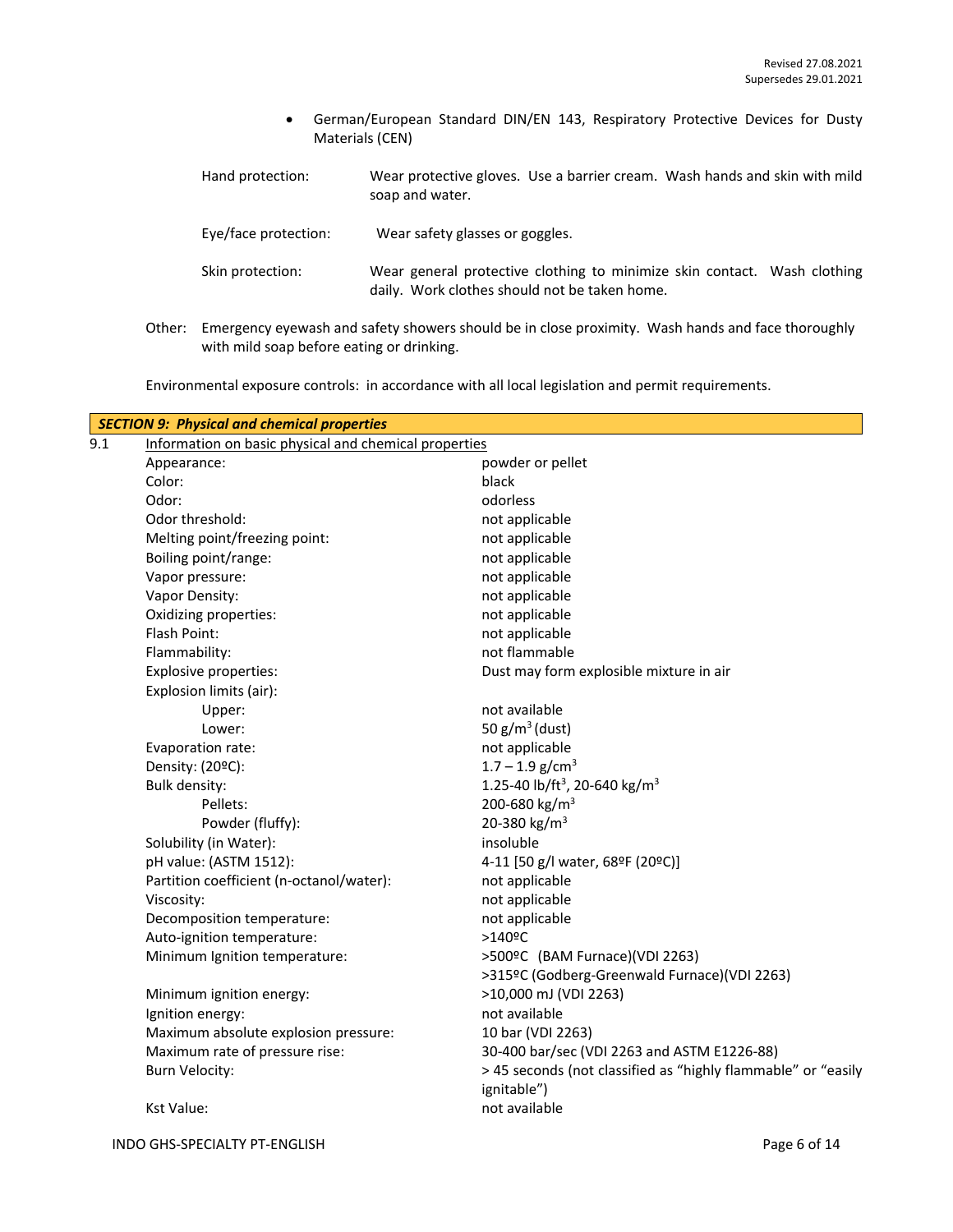- German/European Standard DIN/EN 143, Respiratory Protective Devices for Dusty Materials (CEN)
- Hand protection: Wear protective gloves. Use a barrier cream. Wash hands and skin with mild soap and water.

Eye/face protection: Wear safety glasses or goggles.

- Skin protection: Wear general protective clothing to minimize skin contact. Wash clothing daily. Work clothes should not be taken home.
- Other: Emergency eyewash and safety showers should be in close proximity. Wash hands and face thoroughly with mild soap before eating or drinking.

Environmental exposure controls: in accordance with all local legislation and permit requirements.

| 9.1 | Information on basic physical and chemical properties | <b>SECTION 9: Physical and chemical properties</b>                           |  |  |
|-----|-------------------------------------------------------|------------------------------------------------------------------------------|--|--|
|     | Appearance:                                           | powder or pellet                                                             |  |  |
|     | Color:                                                | black                                                                        |  |  |
|     | Odor:                                                 | odorless                                                                     |  |  |
|     | Odor threshold:                                       | not applicable                                                               |  |  |
|     | Melting point/freezing point:                         | not applicable                                                               |  |  |
|     | Boiling point/range:                                  | not applicable                                                               |  |  |
|     | Vapor pressure:                                       | not applicable                                                               |  |  |
|     | Vapor Density:                                        | not applicable                                                               |  |  |
|     | Oxidizing properties:                                 | not applicable                                                               |  |  |
|     | Flash Point:                                          | not applicable                                                               |  |  |
|     | Flammability:                                         | not flammable                                                                |  |  |
|     | Explosive properties:                                 | Dust may form explosible mixture in air                                      |  |  |
|     | Explosion limits (air):                               |                                                                              |  |  |
|     | Upper:                                                | not available                                                                |  |  |
|     | Lower:                                                | 50 $g/m^3$ (dust)                                                            |  |  |
|     | Evaporation rate:                                     | not applicable                                                               |  |  |
|     | Density: (20°C):                                      | $1.7 - 1.9$ g/cm <sup>3</sup>                                                |  |  |
|     | <b>Bulk density:</b>                                  | 1.25-40 lb/ft <sup>3</sup> , 20-640 kg/m <sup>3</sup>                        |  |  |
|     | Pellets:                                              | 200-680 kg/m <sup>3</sup>                                                    |  |  |
|     | Powder (fluffy):                                      | 20-380 kg/m <sup>3</sup>                                                     |  |  |
|     | Solubility (in Water):                                | insoluble                                                                    |  |  |
|     | pH value: (ASTM 1512):                                | 4-11 [50 g/l water, 68ºF (20ºC)]                                             |  |  |
|     | Partition coefficient (n-octanol/water):              | not applicable                                                               |  |  |
|     | Viscosity:                                            | not applicable                                                               |  |  |
|     | Decomposition temperature:                            | not applicable                                                               |  |  |
|     | Auto-ignition temperature:                            | $>140$ <sup>o</sup> C                                                        |  |  |
|     | Minimum Ignition temperature:                         | >500ºC (BAM Furnace)(VDI 2263)                                               |  |  |
|     |                                                       | >315ºC (Godberg-Greenwald Furnace)(VDI 2263)                                 |  |  |
|     | Minimum ignition energy:                              | >10,000 mJ (VDI 2263)                                                        |  |  |
|     | Ignition energy:                                      | not available                                                                |  |  |
|     | Maximum absolute explosion pressure:                  | 10 bar (VDI 2263)                                                            |  |  |
|     | Maximum rate of pressure rise:                        | 30-400 bar/sec (VDI 2263 and ASTM E1226-88)                                  |  |  |
|     | <b>Burn Velocity:</b>                                 | > 45 seconds (not classified as "highly flammable" or "easily<br>ignitable") |  |  |
|     | <b>Kst Value:</b>                                     | not available                                                                |  |  |
|     |                                                       |                                                                              |  |  |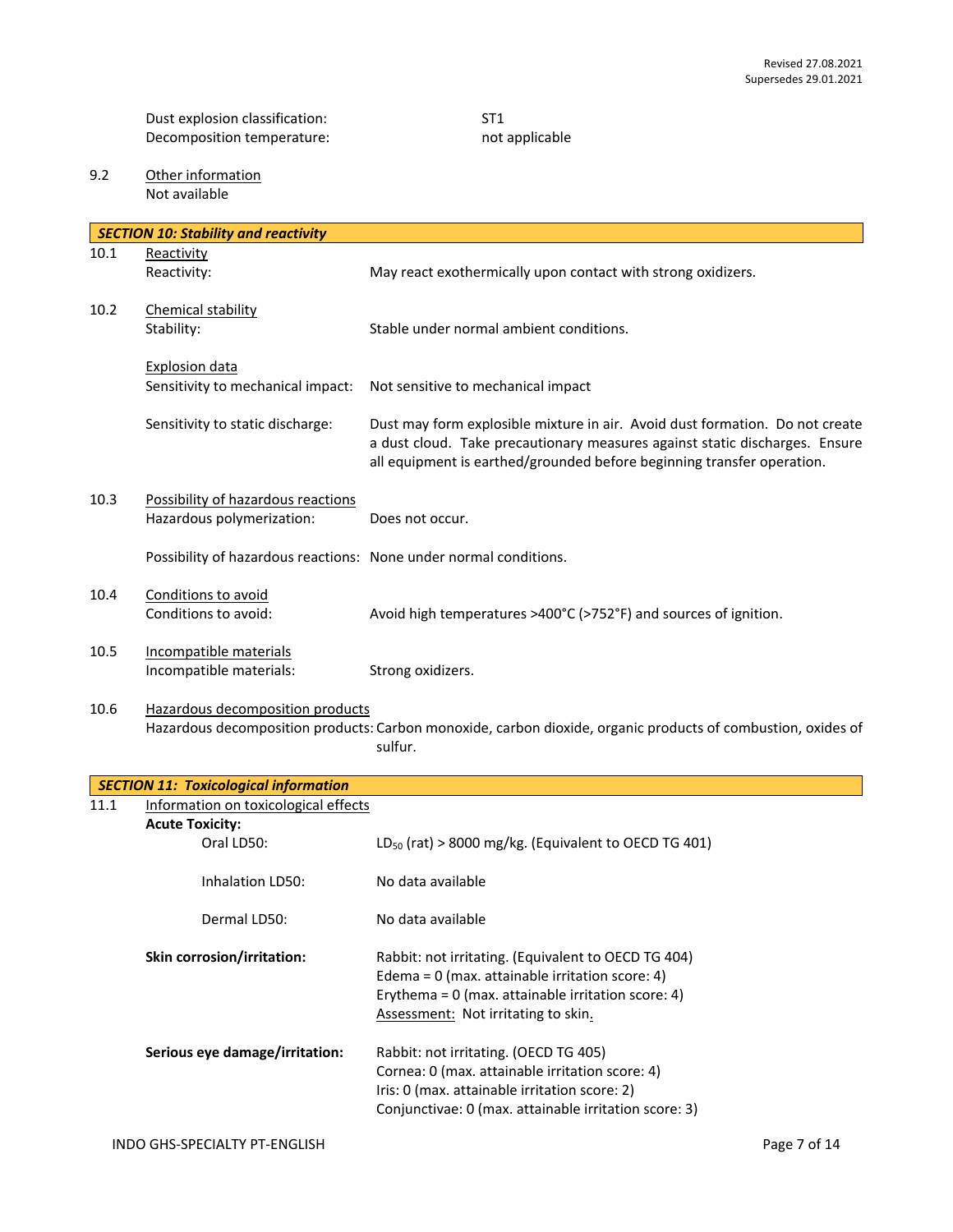Dust explosion classification: ST1<br>Decomposition temperature: ST1<br>Necomposition temperature: ST2 Decomposition temperature:

9.2 Other information Not available

|      | <b>SECTION 10: Stability and reactivity</b>                       |                                                                                                                                                                                                                                       |
|------|-------------------------------------------------------------------|---------------------------------------------------------------------------------------------------------------------------------------------------------------------------------------------------------------------------------------|
| 10.1 | Reactivity                                                        |                                                                                                                                                                                                                                       |
|      | Reactivity:                                                       | May react exothermically upon contact with strong oxidizers.                                                                                                                                                                          |
| 10.2 | Chemical stability<br>Stability:                                  | Stable under normal ambient conditions.                                                                                                                                                                                               |
|      | <b>Explosion data</b><br>Sensitivity to mechanical impact:        | Not sensitive to mechanical impact                                                                                                                                                                                                    |
|      | Sensitivity to static discharge:                                  | Dust may form explosible mixture in air. Avoid dust formation. Do not create<br>a dust cloud. Take precautionary measures against static discharges. Ensure<br>all equipment is earthed/grounded before beginning transfer operation. |
| 10.3 | Possibility of hazardous reactions<br>Hazardous polymerization:   | Does not occur.                                                                                                                                                                                                                       |
|      | Possibility of hazardous reactions: None under normal conditions. |                                                                                                                                                                                                                                       |
| 10.4 | Conditions to avoid<br>Conditions to avoid:                       | Avoid high temperatures >400°C (>752°F) and sources of ignition.                                                                                                                                                                      |
| 10.5 | Incompatible materials<br>Incompatible materials:                 | Strong oxidizers.                                                                                                                                                                                                                     |
| 10.6 | Hazardous decomposition products                                  | Hazardous decomposition products: Carbon monoxide, carbon dioxide, organic products of combustion, oxides of<br>sulfur.                                                                                                               |
|      | <b>SECTION 11: Toxicological information</b>                      |                                                                                                                                                                                                                                       |
| 11.1 | Information on toxicological effects                              |                                                                                                                                                                                                                                       |
|      | <b>Acute Toxicity:</b>                                            |                                                                                                                                                                                                                                       |
|      | Oral LD50:                                                        | $LD_{50}$ (rat) > 8000 mg/kg. (Equivalent to OECD TG 401)                                                                                                                                                                             |
|      | Inhalation LD50:                                                  | No data available                                                                                                                                                                                                                     |
|      | Dermal LD50:                                                      | No data available                                                                                                                                                                                                                     |
|      | Skin corrosion/irritation:                                        | Rabbit: not irritating. (Equivalent to OECD TG 404)<br>Edema = $0$ (max. attainable irritation score: 4)<br>Erythema = $0$ (max. attainable irritation score: 4)<br>Assessment: Not irritating to skin.                               |
|      | Serious eye damage/irritation:                                    | Rabbit: not irritating. (OECD TG 405)<br>Cornea: 0 (max. attainable irritation score: 4)<br>Iris: 0 (max. attainable irritation score: 2)<br>Conjunctivae: 0 (max. attainable irritation score: 3)                                    |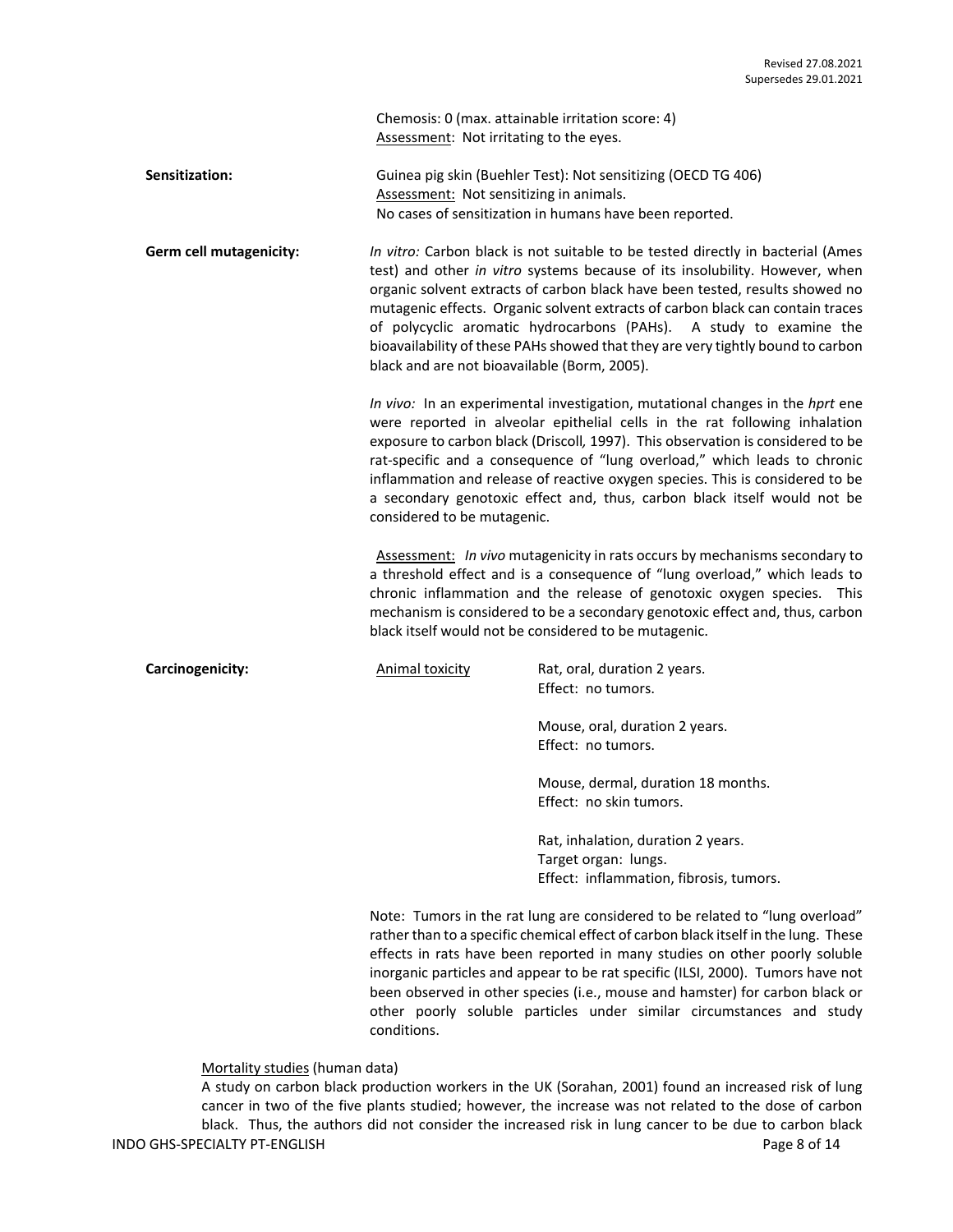Chemosis: 0 (max. attainable irritation score: 4) Assessment: Not irritating to the eyes.

**Sensitization:** Guinea pig skin (Buehler Test): Not sensitizing (OECD TG 406) Assessment: Not sensitizing in animals. No cases of sensitization in humans have been reported.

**Germ cell mutagenicity:** *In vitro:* Carbon black is not suitable to be tested directly in bacterial (Ames test) and other *in vitro* systems because of its insolubility. However, when organic solvent extracts of carbon black have been tested, results showed no mutagenic effects. Organic solvent extracts of carbon black can contain traces of polycyclic aromatic hydrocarbons (PAHs). A study to examine the bioavailability of these PAHs showed that they are very tightly bound to carbon black and are not bioavailable (Borm, 2005).

> *In vivo:* In an experimental investigation, mutational changes in the *hprt* ene were reported in alveolar epithelial cells in the rat following inhalation exposure to carbon black (Driscoll*,* 1997). This observation is considered to be rat-specific and a consequence of "lung overload," which leads to chronic inflammation and release of reactive oxygen species. This is considered to be a secondary genotoxic effect and, thus, carbon black itself would not be considered to be mutagenic.

> Assessment: *In vivo* mutagenicity in rats occurs by mechanisms secondary to a threshold effect and is a consequence of "lung overload," which leads to chronic inflammation and the release of genotoxic oxygen species. This mechanism is considered to be a secondary genotoxic effect and, thus, carbon black itself would not be considered to be mutagenic.

**Carcinogenicity: Carcinogenicity:** Animal toxicity **Rat, oral, duration 2 years.** Effect: no tumors.

> Mouse, oral, duration 2 years. Effect: no tumors.

Mouse, dermal, duration 18 months. Effect: no skin tumors.

Rat, inhalation, duration 2 years. Target organ: lungs. Effect: inflammation, fibrosis, tumors.

Note: Tumors in the rat lung are considered to be related to "lung overload" rather than to a specific chemical effect of carbon black itself in the lung. These effects in rats have been reported in many studies on other poorly soluble inorganic particles and appear to be rat specific (ILSI, 2000). Tumors have not been observed in other species (i.e., mouse and hamster) for carbon black or other poorly soluble particles under similar circumstances and study conditions.

Mortality studies (human data)

INDO GHS-SPECIALTY PT-ENGLISH **Page 8** of 14 A study on carbon black production workers in the UK (Sorahan, 2001) found an increased risk of lung cancer in two of the five plants studied; however, the increase was not related to the dose of carbon black. Thus, the authors did not consider the increased risk in lung cancer to be due to carbon black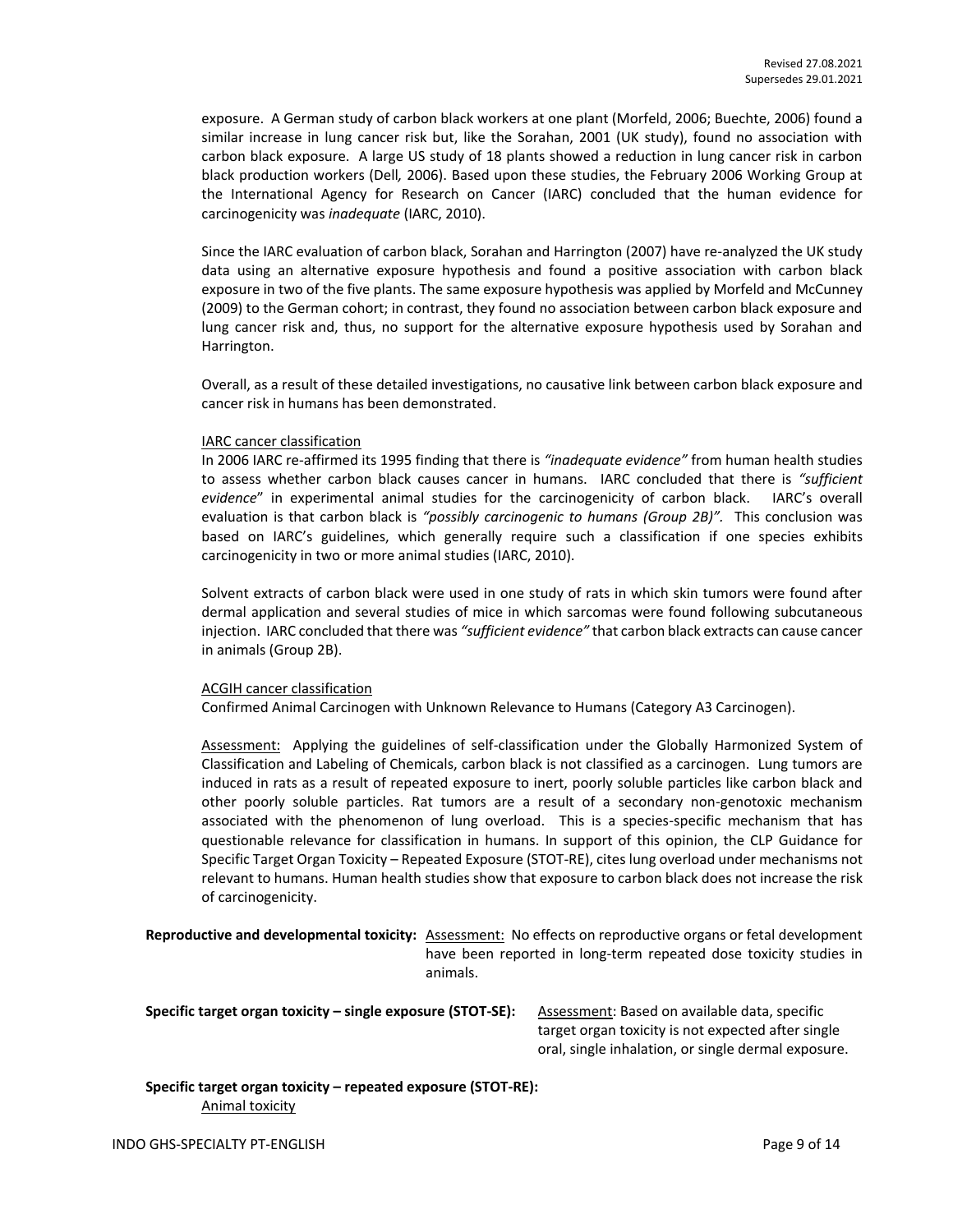exposure. A German study of carbon black workers at one plant (Morfeld, 2006; Buechte, 2006) found a similar increase in lung cancer risk but, like the Sorahan, 2001 (UK study), found no association with carbon black exposure. A large US study of 18 plants showed a reduction in lung cancer risk in carbon black production workers (Dell*,* 2006). Based upon these studies, the February 2006 Working Group at the International Agency for Research on Cancer (IARC) concluded that the human evidence for carcinogenicity was *inadequate* (IARC, 2010).

Since the IARC evaluation of carbon black, Sorahan and Harrington (2007) have re-analyzed the UK study data using an alternative exposure hypothesis and found a positive association with carbon black exposure in two of the five plants. The same exposure hypothesis was applied by Morfeld and McCunney (2009) to the German cohort; in contrast, they found no association between carbon black exposure and lung cancer risk and, thus, no support for the alternative exposure hypothesis used by Sorahan and Harrington.

Overall, as a result of these detailed investigations, no causative link between carbon black exposure and cancer risk in humans has been demonstrated.

#### IARC cancer classification

In 2006 IARC re-affirmed its 1995 finding that there is *"inadequate evidence"* from human health studies to assess whether carbon black causes cancer in humans. IARC concluded that there is *"sufficient evidence*" in experimental animal studies for the carcinogenicity of carbon black. IARC's overall evaluation is that carbon black is *"possibly carcinogenic to humans (Group 2B)".* This conclusion was based on IARC's guidelines, which generally require such a classification if one species exhibits carcinogenicity in two or more animal studies (IARC, 2010).

Solvent extracts of carbon black were used in one study of rats in which skin tumors were found after dermal application and several studies of mice in which sarcomas were found following subcutaneous injection. IARC concluded that there was *"sufficient evidence"* that carbon black extracts can cause cancer in animals (Group 2B).

# ACGIH cancer classification

Confirmed Animal Carcinogen with Unknown Relevance to Humans (Category A3 Carcinogen).

Assessment: Applying the guidelines of self-classification under the Globally Harmonized System of Classification and Labeling of Chemicals, carbon black is not classified as a carcinogen. Lung tumors are induced in rats as a result of repeated exposure to inert, poorly soluble particles like carbon black and other poorly soluble particles. Rat tumors are a result of a secondary non-genotoxic mechanism associated with the phenomenon of lung overload. This is a species-specific mechanism that has questionable relevance for classification in humans. In support of this opinion, the CLP Guidance for Specific Target Organ Toxicity – Repeated Exposure (STOT-RE), cites lung overload under mechanisms not relevant to humans. Human health studies show that exposure to carbon black does not increase the risk of carcinogenicity.

**Reproductive and developmental toxicity:** Assessment: No effects on reproductive organs or fetal development have been reported in long-term repeated dose toxicity studies in animals.

**Specific target organ toxicity – single exposure (STOT-SE):** Assessment: Based on available data, specific

target organ toxicity is not expected after single oral, single inhalation, or single dermal exposure.

### **Specific target organ toxicity – repeated exposure (STOT-RE):**  Animal toxicity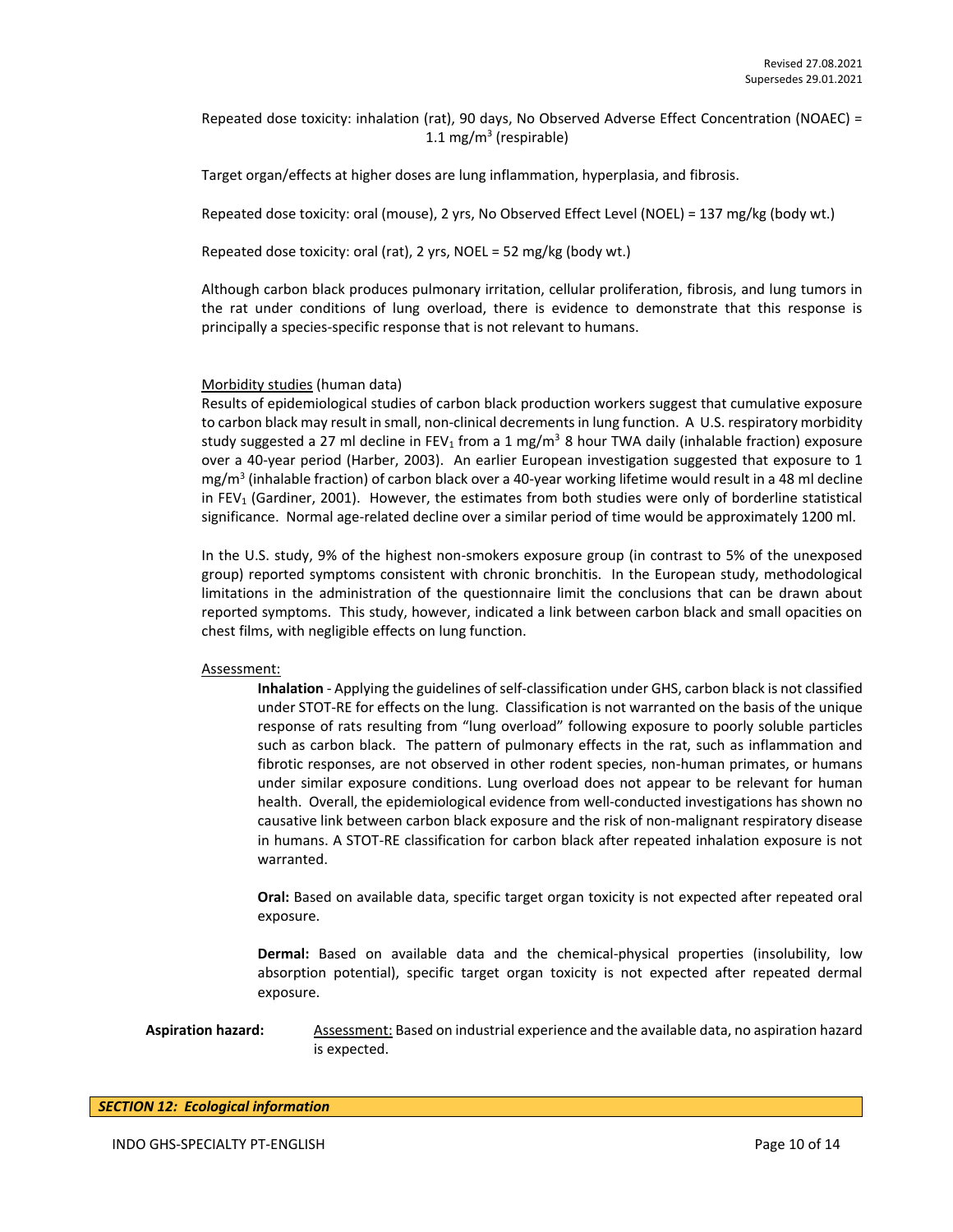Repeated dose toxicity: inhalation (rat), 90 days, No Observed Adverse Effect Concentration (NOAEC) = 1.1 mg/m<sup>3</sup> (respirable)

Target organ/effects at higher doses are lung inflammation, hyperplasia, and fibrosis.

Repeated dose toxicity: oral (mouse), 2 yrs, No Observed Effect Level (NOEL) = 137 mg/kg (body wt.)

Repeated dose toxicity: oral (rat), 2 yrs, NOEL = 52 mg/kg (body wt.)

Although carbon black produces pulmonary irritation, cellular proliferation, fibrosis, and lung tumors in the rat under conditions of lung overload, there is evidence to demonstrate that this response is principally a species-specific response that is not relevant to humans.

#### Morbidity studies (human data)

Results of epidemiological studies of carbon black production workers suggest that cumulative exposure to carbon black may result in small, non-clinical decrements in lung function. A U.S. respiratory morbidity study suggested a 27 ml decline in FEV<sub>1</sub> from a 1 mg/m<sup>3</sup> 8 hour TWA daily (inhalable fraction) exposure over a 40-year period (Harber, 2003). An earlier European investigation suggested that exposure to 1 mg/m<sup>3</sup> (inhalable fraction) of carbon black over a 40-year working lifetime would result in a 48 ml decline in  $FEV<sub>1</sub>$  (Gardiner, 2001). However, the estimates from both studies were only of borderline statistical significance. Normal age-related decline over a similar period of time would be approximately 1200 ml.

In the U.S. study, 9% of the highest non-smokers exposure group (in contrast to 5% of the unexposed group) reported symptoms consistent with chronic bronchitis. In the European study, methodological limitations in the administration of the questionnaire limit the conclusions that can be drawn about reported symptoms. This study, however, indicated a link between carbon black and small opacities on chest films, with negligible effects on lung function.

#### Assessment:

**Inhalation** - Applying the guidelines of self-classification under GHS, carbon black is not classified under STOT-RE for effects on the lung. Classification is not warranted on the basis of the unique response of rats resulting from "lung overload" following exposure to poorly soluble particles such as carbon black. The pattern of pulmonary effects in the rat, such as inflammation and fibrotic responses, are not observed in other rodent species, non-human primates, or humans under similar exposure conditions. Lung overload does not appear to be relevant for human health. Overall, the epidemiological evidence from well-conducted investigations has shown no causative link between carbon black exposure and the risk of non-malignant respiratory disease in humans. A STOT-RE classification for carbon black after repeated inhalation exposure is not warranted.

**Oral:** Based on available data, specific target organ toxicity is not expected after repeated oral exposure.

**Dermal:** Based on available data and the chemical-physical properties (insolubility, low absorption potential), specific target organ toxicity is not expected after repeated dermal exposure.

**Aspiration hazard:** Assessment: Based on industrial experience and the available data, no aspiration hazard is expected.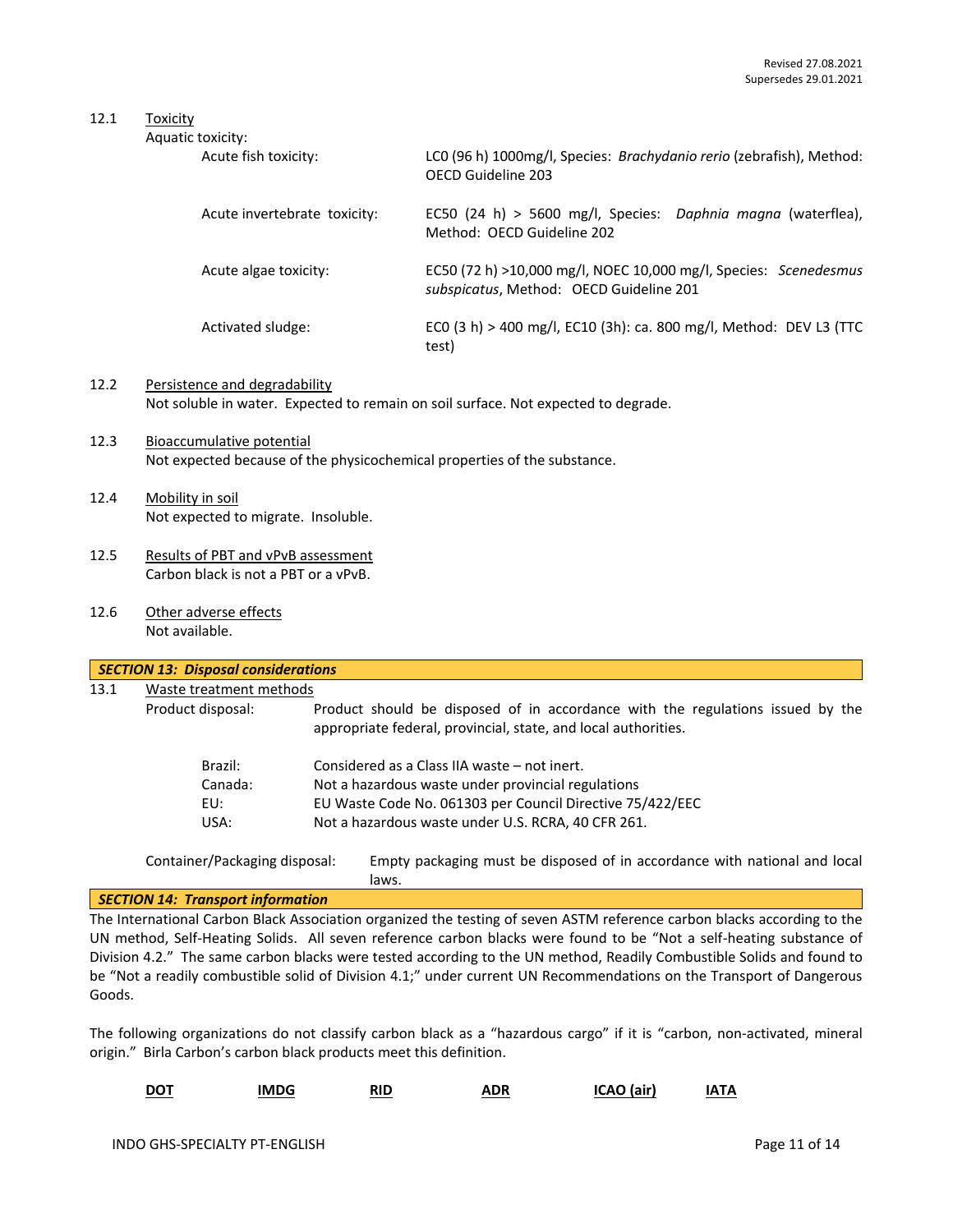# 12.1 Toxicity

| Aquatic toxicity:            |                                                                                                             |
|------------------------------|-------------------------------------------------------------------------------------------------------------|
| Acute fish toxicity:         | LCO (96 h) 1000mg/l, Species: Brachydanio rerio (zebrafish), Method:<br>OFCD Guideline 203                  |
| Acute invertebrate toxicity: | EC50 (24 h) > 5600 mg/l, Species: Daphnia magna (waterflea),<br>Method: OFCD Guideline 202                  |
| Acute algae toxicity:        | EC50 (72 h) >10,000 mg/l, NOEC 10,000 mg/l, Species: Scenedesmus<br>subspicatus, Method: OECD Guideline 201 |
| Activated sludge:            | ECO (3 h) > 400 mg/l, EC10 (3h): ca. 800 mg/l, Method: DEV L3 (TTC<br>test)                                 |

- 12.2 Persistence and degradability Not soluble in water. Expected to remain on soil surface. Not expected to degrade.
- 12.3 Bioaccumulative potential Not expected because of the physicochemical properties of the substance.
- 12.4 Mobility in soil Not expected to migrate. Insoluble.
- 12.5 Results of PBT and vPvB assessment Carbon black is not a PBT or a vPvB.
- 12.6 Other adverse effects Not available.

| 13.1 | Waste treatment methods |                                                                                                                                                  |
|------|-------------------------|--------------------------------------------------------------------------------------------------------------------------------------------------|
|      | Product disposal:       | Product should be disposed of in accordance with the regulations issued by the<br>appropriate federal, provincial, state, and local authorities. |
|      | Brazil:                 | Considered as a Class IIA waste – not inert.                                                                                                     |
|      | Canada:                 | Not a hazardous waste under provincial regulations                                                                                               |
|      | EU:                     | EU Waste Code No. 061303 per Council Directive 75/422/EEC                                                                                        |
|      | USA:                    | Not a hazardous waste under U.S. RCRA, 40 CFR 261.                                                                                               |

Container/Packaging disposal: Empty packaging must be disposed of in accordance with national and local laws.

# *SECTION 14: Transport information*

The International Carbon Black Association organized the testing of seven ASTM reference carbon blacks according to the UN method, Self-Heating Solids. All seven reference carbon blacks were found to be "Not a self-heating substance of Division 4.2." The same carbon blacks were tested according to the UN method, Readily Combustible Solids and found to be "Not a readily combustible solid of Division 4.1;" under current UN Recommendations on the Transport of Dangerous Goods.

The following organizations do not classify carbon black as a "hazardous cargo" if it is "carbon, non-activated, mineral origin." Birla Carbon's carbon black products meet this definition.

| DOT<br>___ | <b>IMDG</b> | RID<br>----<br>___ | <b>\DR</b><br>.<br>_____ | ו המ<br>(air) | <b>NT/</b> |
|------------|-------------|--------------------|--------------------------|---------------|------------|
|------------|-------------|--------------------|--------------------------|---------------|------------|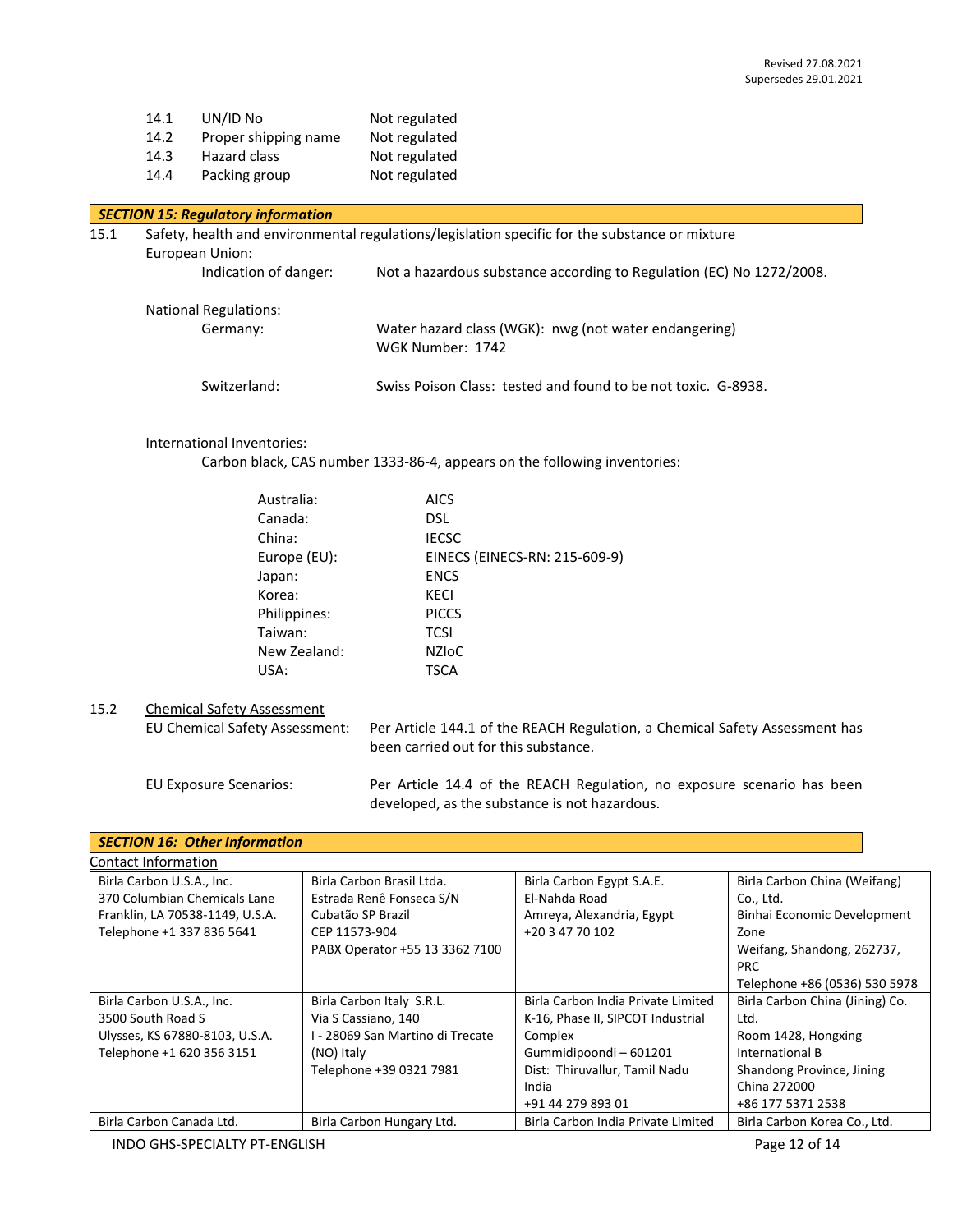| 14.1 | UN/ID No             | Not regulated |
|------|----------------------|---------------|
| 14.2 | Proper shipping name | Not regulated |
| 14.3 | Hazard class         | Not regulated |
| 14.4 | Packing group        | Not regulated |

|      | <b>SECTION 15: Regulatory information</b>                                                      |                                                                           |  |
|------|------------------------------------------------------------------------------------------------|---------------------------------------------------------------------------|--|
| 15.1 | Safety, health and environmental regulations/legislation specific for the substance or mixture |                                                                           |  |
|      | European Union:                                                                                |                                                                           |  |
|      | Indication of danger:                                                                          | Not a hazardous substance according to Regulation (EC) No 1272/2008.      |  |
|      | <b>National Regulations:</b>                                                                   |                                                                           |  |
|      | Germany:                                                                                       | Water hazard class (WGK): nwg (not water endangering)<br>WGK Number: 1742 |  |
|      | Switzerland:                                                                                   | Swiss Poison Class: tested and found to be not toxic. G-8938.             |  |

# International Inventories:

Carbon black, CAS number 1333-86-4, appears on the following inventories:

| Australia:   | <b>AICS</b>                   |
|--------------|-------------------------------|
| Canada:      | DSL                           |
| China:       | <b>IECSC</b>                  |
| Europe (EU): | EINECS (EINECS-RN: 215-609-9) |
| Japan:       | <b>ENCS</b>                   |
| Korea:       | KECI                          |
| Philippines: | <b>PICCS</b>                  |
| Taiwan:      | <b>TCSI</b>                   |
| New Zealand: | <b>NZIOC</b>                  |
| USA:         | TSCA                          |
|              |                               |

15.2 Chemical Safety Assessment<br>EU Chemical Safety Assessment: Per Article 144.1 of the REACH Regulation, a Chemical Safety Assessment has been carried out for this substance.

EU Exposure Scenarios: Per Article 14.4 of the REACH Regulation, no exposure scenario has been developed, as the substance is not hazardous.

| <b>SECTION 16: Other Information</b>                                                                                      |                                                                                                                               |                                                                                                              |                                                                                                                              |  |  |
|---------------------------------------------------------------------------------------------------------------------------|-------------------------------------------------------------------------------------------------------------------------------|--------------------------------------------------------------------------------------------------------------|------------------------------------------------------------------------------------------------------------------------------|--|--|
| Contact Information                                                                                                       |                                                                                                                               |                                                                                                              |                                                                                                                              |  |  |
| Birla Carbon U.S.A., Inc.<br>370 Columbian Chemicals Lane<br>Franklin, LA 70538-1149, U.S.A.<br>Telephone +1 337 836 5641 | Birla Carbon Brasil Ltda.<br>Estrada Renê Fonseca S/N<br>Cubatão SP Brazil<br>CEP 11573-904<br>PABX Operator +55 13 3362 7100 | Birla Carbon Egypt S.A.E.<br>El-Nahda Road<br>Amreya, Alexandria, Egypt<br>+20 3 47 70 102                   | Birla Carbon China (Weifang)<br>Co., Ltd.<br>Binhai Economic Development<br>Zone<br>Weifang, Shandong, 262737,<br><b>PRC</b> |  |  |
|                                                                                                                           |                                                                                                                               |                                                                                                              | Telephone +86 (0536) 530 5978                                                                                                |  |  |
| Birla Carbon U.S.A., Inc.<br>3500 South Road S<br>Ulysses, KS 67880-8103, U.S.A.<br>Telephone +1 620 356 3151             | Birla Carbon Italy S.R.L.<br>Via S Cassiano, 140<br>- 28069 San Martino di Trecate<br>(NO) Italy                              | Birla Carbon India Private Limited<br>K-16, Phase II, SIPCOT Industrial<br>Complex<br>Gummidipoondi - 601201 | Birla Carbon China (Jining) Co.<br>Ltd.<br>Room 1428, Hongxing<br>International B                                            |  |  |
| Birla Carbon Canada Ltd.                                                                                                  | Telephone +39 0321 7981<br>Birla Carbon Hungary Ltd.                                                                          | Dist: Thiruvallur, Tamil Nadu<br>India<br>+91 44 279 893 01<br>Birla Carbon India Private Limited            | Shandong Province, Jining<br>China 272000<br>+86 177 5371 2538<br>Birla Carbon Korea Co., Ltd.                               |  |  |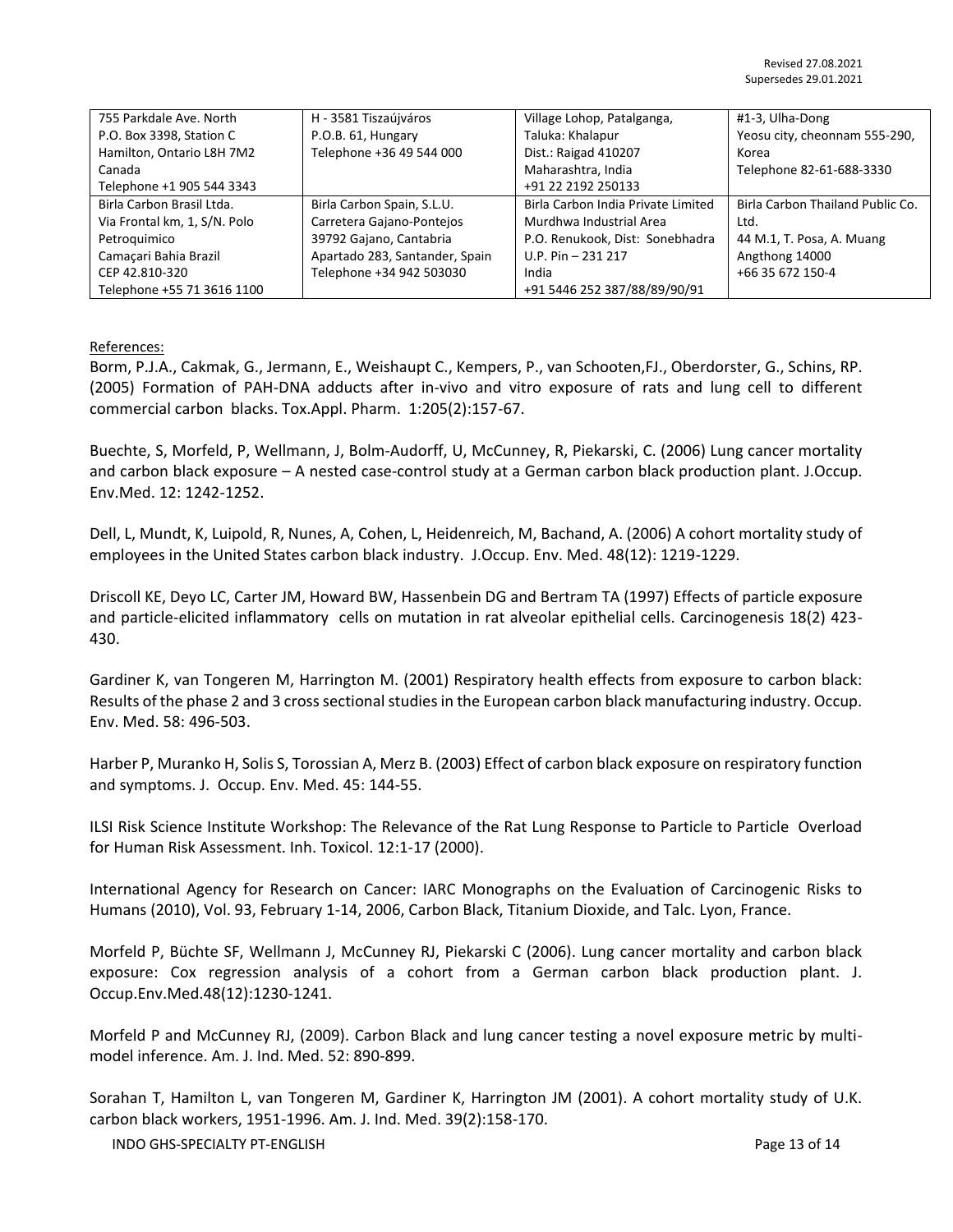| 755 Parkdale Ave. North      | H - 3581 Tiszaújváros          | Village Lohop, Patalganga,         | #1-3, Ulha-Dong                  |
|------------------------------|--------------------------------|------------------------------------|----------------------------------|
| P.O. Box 3398, Station C     | P.O.B. 61, Hungary             | Taluka: Khalapur                   | Yeosu city, cheonnam 555-290,    |
| Hamilton, Ontario L8H 7M2    | Telephone +36 49 544 000       | Dist.: Raigad 410207               | Korea                            |
| Canada                       |                                | Maharashtra, India                 | Telephone 82-61-688-3330         |
| Telephone +1 905 544 3343    |                                | +91 22 2192 250133                 |                                  |
| Birla Carbon Brasil Ltda.    | Birla Carbon Spain, S.L.U.     | Birla Carbon India Private Limited | Birla Carbon Thailand Public Co. |
| Via Frontal km, 1, S/N. Polo | Carretera Gajano-Pontejos      | Murdhwa Industrial Area            | Ltd.                             |
| Petroquimico                 | 39792 Gajano, Cantabria        | P.O. Renukook, Dist: Sonebhadra    | 44 M.1, T. Posa, A. Muang        |
| Camaçari Bahia Brazil        | Apartado 283, Santander, Spain | U.P. Pin $-231$ 217                | Angthong 14000                   |
| CEP 42.810-320               | Telephone +34 942 503030       | India                              | +66 35 672 150-4                 |
| Telephone +55 71 3616 1100   |                                | +91 5446 252 387/88/89/90/91       |                                  |

### References:

Borm, P.J.A., Cakmak, G., Jermann, E., Weishaupt C., Kempers, P., van Schooten,FJ., Oberdorster, G., Schins, RP. (2005) Formation of PAH-DNA adducts after in-vivo and vitro exposure of rats and lung cell to different commercial carbon blacks. Tox.Appl. Pharm. 1:205(2):157-67.

Buechte, S, Morfeld, P, Wellmann, J, Bolm-Audorff, U, McCunney, R, Piekarski, C. (2006) Lung cancer mortality and carbon black exposure – A nested case-control study at a German carbon black production plant. J.Occup. Env.Med. 12: 1242-1252.

Dell, L, Mundt, K, Luipold, R, Nunes, A, Cohen, L, Heidenreich, M, Bachand, A. (2006) A cohort mortality study of employees in the United States carbon black industry. J.Occup. Env. Med. 48(12): 1219-1229.

Driscoll KE, Deyo LC, Carter JM, Howard BW, Hassenbein DG and Bertram TA (1997) Effects of particle exposure and particle-elicited inflammatory cells on mutation in rat alveolar epithelial cells. Carcinogenesis 18(2) 423- 430.

Gardiner K, van Tongeren M, Harrington M. (2001) Respiratory health effects from exposure to carbon black: Results of the phase 2 and 3 cross sectional studies in the European carbon black manufacturing industry. Occup. Env. Med. 58: 496-503.

Harber P, Muranko H, Solis S, Torossian A, Merz B. (2003) Effect of carbon black exposure on respiratory function and symptoms. J. Occup. Env. Med. 45: 144-55.

ILSI Risk Science Institute Workshop: The Relevance of the Rat Lung Response to Particle to Particle Overload for Human Risk Assessment. Inh. Toxicol. 12:1-17 (2000).

International Agency for Research on Cancer: IARC Monographs on the Evaluation of Carcinogenic Risks to Humans (2010), Vol. 93, February 1-14, 2006, Carbon Black, Titanium Dioxide, and Talc. Lyon, France.

Morfeld P, Büchte SF, Wellmann J, McCunney RJ, Piekarski C (2006). Lung cancer mortality and carbon black exposure: Cox regression analysis of a cohort from a German carbon black production plant. J. Occup.Env.Med.48(12):1230-1241.

Morfeld P and McCunney RJ, (2009). Carbon Black and lung cancer testing a novel exposure metric by multimodel inference. Am. J. Ind. Med. 52: 890-899.

Sorahan T, Hamilton L, van Tongeren M, Gardiner K, Harrington JM (2001). A cohort mortality study of U.K. carbon black workers, 1951-1996. Am. J. Ind. Med. 39(2):158-170.

INDO GHS-SPECIALTY PT-ENGLISH Page 13 of 14